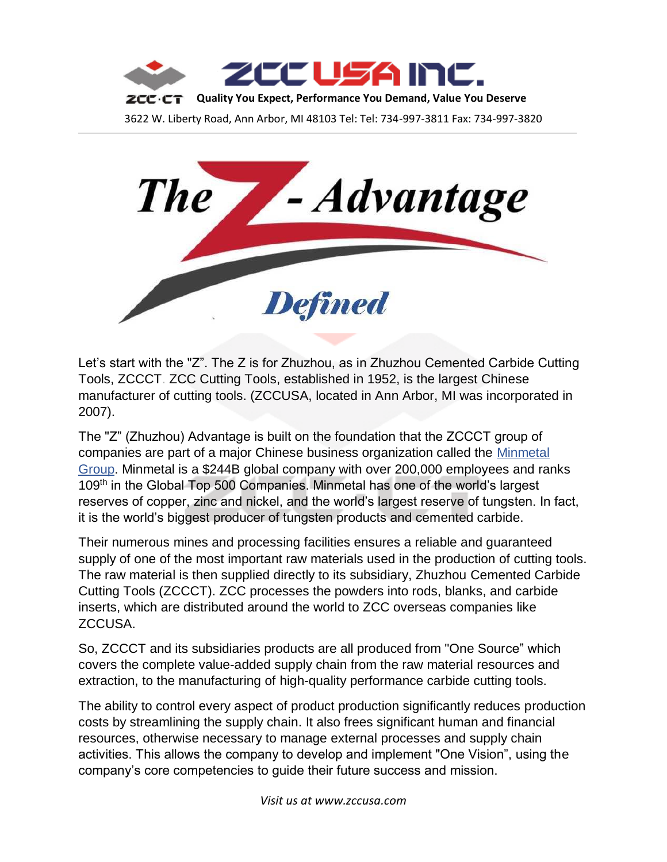



Let's start with the "Z". The Z is for Zhuzhou, as in Zhuzhou Cemented Carbide Cutting Tools, ZCCCT. ZCC Cutting Tools, established in 1952, is the largest Chinese manufacturer of cutting tools. (ZCCUSA, located in Ann Arbor, MI was incorporated in 2007).

The "Z" (Zhuzhou) Advantage is built on the foundation that the ZCCCT group of companies are part of a major Chinese business organization called the Minmetal Group. Minmetal is a \$244B global company with over 200,000 employees and ranks 109<sup>th</sup> in the Global Top 500 Companies. Minmetal has one of the world's largest reserves of copper, zinc and nickel, and the world's largest reserve of tungsten. In fact, it is the world's biggest producer of tungsten products and cemented carbide.

Their numerous mines and processing facilities ensures a reliable and guaranteed supply of one of the most important raw materials used in the production of cutting tools. The raw material is then supplied directly to its subsidiary, Zhuzhou Cemented Carbide Cutting Tools (ZCCCT). ZCC processes the powders into rods, blanks, and carbide inserts, which are distributed around the world to ZCC overseas companies like ZCCUSA.

So, ZCCCT and its subsidiaries products are all produced from "One Source" which covers the complete value-added supply chain from the raw material resources and extraction, to the manufacturing of high-quality performance carbide cutting tools.

The ability to control every aspect of product production significantly reduces production costs by streamlining the supply chain. It also frees significant human and financial resources, otherwise necessary to manage external processes and supply chain activities. This allows the company to develop and implement "One Vision", using the company's core competencies to guide their future success and mission.